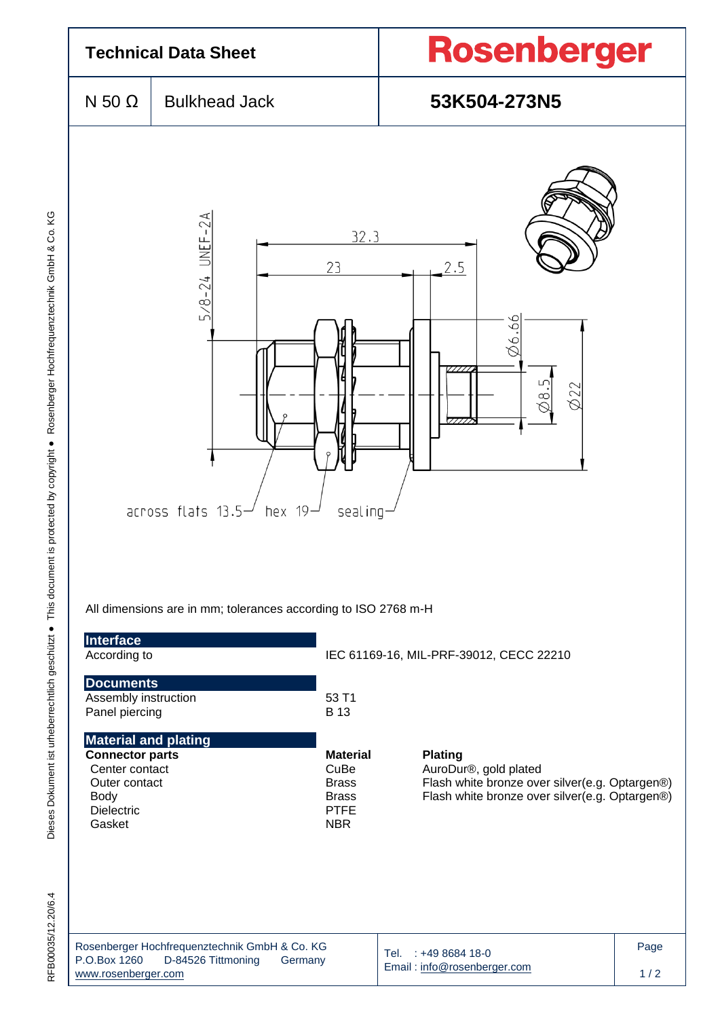